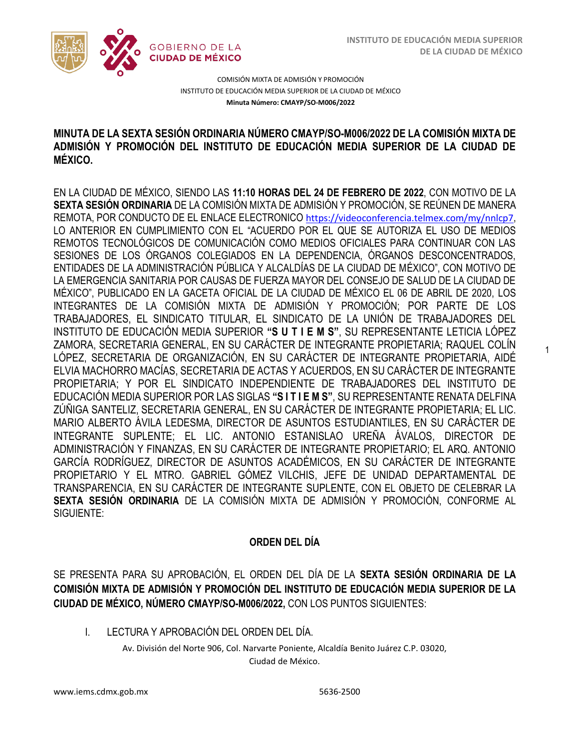1



COMISIÓN MIXTA DE ADMISIÓN Y PROMOCIÓN INSTITUTO DE EDUCACIÓN MEDIA SUPERIOR DE LA CIUDAD DE MÉXICO **Minuta Número: CMAYP/SO-M006/2022**

## /2020 **MINUTA DE LA SEXTA SESIÓN ORDINARIA NÚMERO CMAYP/SO-M006/2022 DE LA COMISIÓN MIXTA DE ADMISIÓN Y PROMOCIÓN DEL INSTITUTO DE EDUCACIÓN MEDIA SUPERIOR DE LA CIUDAD DE MÉXICO.**

EN LA CIUDAD DE MÉXICO, SIENDO LAS **11:10 HORAS DEL 24 DE FEBRERO DE 2022**, CON MOTIVO DE LA **SEXTA SESIÓN ORDINARIA** DE LA COMISIÓN MIXTA DE ADMISIÓN Y PROMOCIÓN, SE REÚNEN DE MANERA REMOTA, POR CONDUCTO DE EL ENLACE ELECTRONICO <https://videoconferencia.telmex.com/my/nnlcp7>, LO ANTERIOR EN CUMPLIMIENTO CON EL "ACUERDO POR EL QUE SE AUTORIZA EL USO DE MEDIOS REMOTOS TECNOLÓGICOS DE COMUNICACIÓN COMO MEDIOS OFICIALES PARA CONTINUAR CON LAS SESIONES DE LOS ÓRGANOS COLEGIADOS EN LA DEPENDENCIA, ÓRGANOS DESCONCENTRADOS, ENTIDADES DE LA ADMINISTRACIÓN PÚBLICA Y ALCALDÍAS DE LA CIUDAD DE MÉXICO", CON MOTIVO DE LA EMERGENCIA SANITARIA POR CAUSAS DE FUERZA MAYOR DEL CONSEJO DE SALUD DE LA CIUDAD DE MÉXICO", PUBLICADO EN LA GACETA OFICIAL DE LA CIUDAD DE MÉXICO EL 06 DE ABRIL DE 2020, LOS INTEGRANTES DE LA COMISIÓN MIXTA DE ADMISIÓN Y PROMOCIÓN; POR PARTE DE LOS TRABAJADORES, EL SINDICATO TITULAR, EL SINDICATO DE LA UNIÓN DE TRABAJADORES DEL INSTITUTO DE EDUCACIÓN MEDIA SUPERIOR **"S U T I E M S"**, SU REPRESENTANTE LETICIA LÓPEZ ZAMORA, SECRETARIA GENERAL, EN SU CARÁCTER DE INTEGRANTE PROPIETARIA; RAQUEL COLÍN LÓPEZ, SECRETARIA DE ORGANIZACIÓN, EN SU CARÁCTER DE INTEGRANTE PROPIETARIA, AIDÉ ELVIA MACHORRO MACÍAS, SECRETARIA DE ACTAS Y ACUERDOS, EN SU CARÁCTER DE INTEGRANTE PROPIETARIA; Y POR EL SINDICATO INDEPENDIENTE DE TRABAJADORES DEL INSTITUTO DE EDUCACIÓN MEDIA SUPERIOR POR LAS SIGLAS **"S I T I E M S"**, SU REPRESENTANTE RENATA DELFINA ZÚÑIGA SANTELIZ, SECRETARIA GENERAL, EN SU CARÁCTER DE INTEGRANTE PROPIETARIA; EL LIC. MARIO ALBERTO ÁVILA LEDESMA, DIRECTOR DE ASUNTOS ESTUDIANTILES, EN SU CARÁCTER DE INTEGRANTE SUPLENTE; EL LIC. ANTONIO ESTANISLAO UREÑA ÁVALOS, DIRECTOR DE ADMINISTRACIÓN Y FINANZAS, EN SU CARÁCTER DE INTEGRANTE PROPIETARIO; EL ARQ. ANTONIO GARCÍA RODRÍGUEZ, DIRECTOR DE ASUNTOS ACADÉMICOS, EN SU CARÁCTER DE INTEGRANTE PROPIETARIO Y EL MTRO. GABRIEL GÓMEZ VILCHIS, JEFE DE UNIDAD DEPARTAMENTAL DE TRANSPARENCIA, EN SU CARÁCTER DE INTEGRANTE SUPLENTE, CON EL OBJETO DE CELEBRAR LA **SEXTA SESIÓN ORDINARIA** DE LA COMISIÓN MIXTA DE ADMISIÓN Y PROMOCIÓN, CONFORME AL SIGUIENTE:

## **ORDEN DEL DÍA**

SE PRESENTA PARA SU APROBACIÓN, EL ORDEN DEL DÍA DE LA **SEXTA SESIÓN ORDINARIA DE LA COMISIÓN MIXTA DE ADMISIÓN Y PROMOCIÓN DEL INSTITUTO DE EDUCACIÓN MEDIA SUPERIOR DE LA CIUDAD DE MÉXICO, NÚMERO CMAYP/SO-M006/2022,** CON LOS PUNTOS SIGUIENTES:

I. LECTURA Y APROBACIÓN DEL ORDEN DEL DÍA.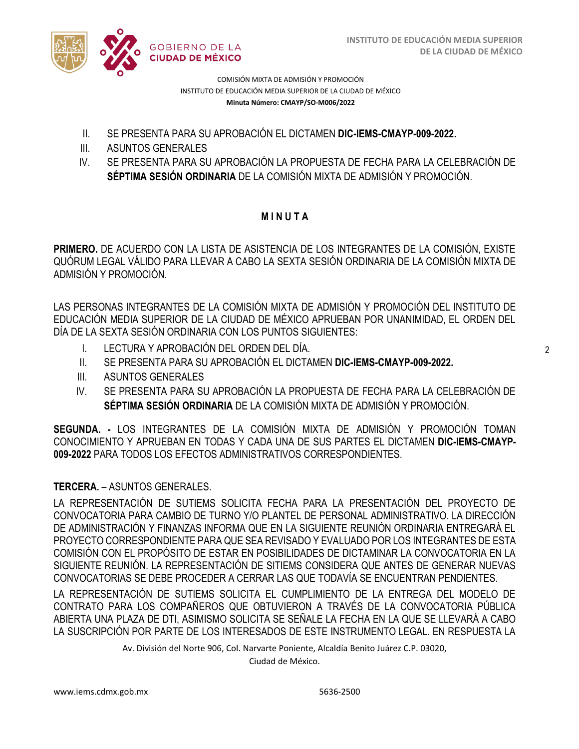

COMISIÓN MIXTA DE ADMISIÓN Y PROMOCIÓN INSTITUTO DE EDUCACIÓN MEDIA SUPERIOR DE LA CIUDAD DE MÉXICO **Minuta Número: CMAYP/SO-M006/2022**

- II. SE PRESENTA PARA SU APROBACIÓN EL DICTAMEN **DIC-IEMS-CMAYP-009-2022.**
- III. ASUNTOS GENERALES
- IV. SE PRESENTA PARA SU APROBACIÓN LA PROPUESTA DE FECHA PARA LA CELEBRACIÓN DE **SÉPTIMA SESIÓN ORDINARIA** DE LA COMISIÓN MIXTA DE ADMISIÓN Y PROMOCIÓN.

## **M I N U T A**

**PRIMERO.** DE ACUERDO CON LA LISTA DE ASISTENCIA DE LOS INTEGRANTES DE LA COMISIÓN, EXISTE QUÓRUM LEGAL VÁLIDO PARA LLEVAR A CABO LA SEXTA SESIÓN ORDINARIA DE LA COMISIÓN MIXTA DE ADMISIÓN Y PROMOCIÓN.

LAS PERSONAS INTEGRANTES DE LA COMISIÓN MIXTA DE ADMISIÓN Y PROMOCIÓN DEL INSTITUTO DE EDUCACIÓN MEDIA SUPERIOR DE LA CIUDAD DE MÉXICO APRUEBAN POR UNANIMIDAD, EL ORDEN DEL DÍA DE LA SEXTA SESIÓN ORDINARIA CON LOS PUNTOS SIGUIENTES:

- I. LECTURA Y APROBACIÓN DEL ORDEN DEL DÍA.
- II. SE PRESENTA PARA SU APROBACIÓN EL DICTAMEN **DIC-IEMS-CMAYP-009-2022.**
- III. ASUNTOS GENERALES
- IV. SE PRESENTA PARA SU APROBACIÓN LA PROPUESTA DE FECHA PARA LA CELEBRACIÓN DE **SÉPTIMA SESIÓN ORDINARIA** DE LA COMISIÓN MIXTA DE ADMISIÓN Y PROMOCIÓN.

**SEGUNDA. -** LOS INTEGRANTES DE LA COMISIÓN MIXTA DE ADMISIÓN Y PROMOCIÓN TOMAN CONOCIMIENTO Y APRUEBAN EN TODAS Y CADA UNA DE SUS PARTES EL DICTAMEN **DIC-IEMS-CMAYP-009-2022** PARA TODOS LOS EFECTOS ADMINISTRATIVOS CORRESPONDIENTES.

### **TERCERA.** – ASUNTOS GENERALES.

LA REPRESENTACIÓN DE SUTIEMS SOLICITA FECHA PARA LA PRESENTACIÓN DEL PROYECTO DE CONVOCATORIA PARA CAMBIO DE TURNO Y/O PLANTEL DE PERSONAL ADMINISTRATIVO. LA DIRECCIÓN DE ADMINISTRACIÓN Y FINANZAS INFORMA QUE EN LA SIGUIENTE REUNIÓN ORDINARIA ENTREGARÁ EL PROYECTO CORRESPONDIENTE PARA QUE SEA REVISADO Y EVALUADO POR LOS INTEGRANTES DE ESTA COMISIÓN CON EL PROPÓSITO DE ESTAR EN POSIBILIDADES DE DICTAMINAR LA CONVOCATORIA EN LA SIGUIENTE REUNIÓN. LA REPRESENTACIÓN DE SITIEMS CONSIDERA QUE ANTES DE GENERAR NUEVAS CONVOCATORIAS SE DEBE PROCEDER A CERRAR LAS QUE TODAVÍA SE ENCUENTRAN PENDIENTES.

LA REPRESENTACIÓN DE SUTIEMS SOLICITA EL CUMPLIMIENTO DE LA ENTREGA DEL MODELO DE CONTRATO PARA LOS COMPAÑEROS QUE OBTUVIERON A TRAVÉS DE LA CONVOCATORIA PÚBLICA ABIERTA UNA PLAZA DE DTI, ASIMISMO SOLICITA SE SEÑALE LA FECHA EN LA QUE SE LLEVARÁ A CABO LA SUSCRIPCIÓN POR PARTE DE LOS INTERESADOS DE ESTE INSTRUMENTO LEGAL. EN RESPUESTA LA

Av. División del Norte 906, Col. Narvarte Poniente, Alcaldía Benito Juárez C.P. 03020,

Ciudad de México.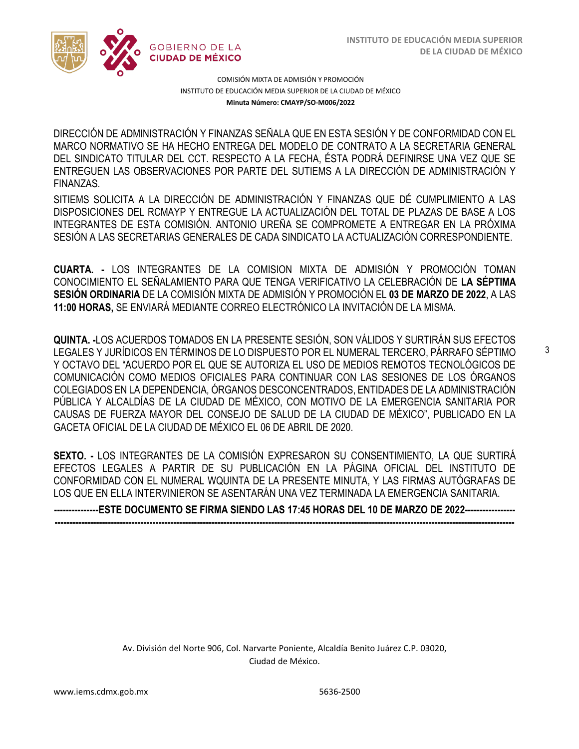3



COMISIÓN MIXTA DE ADMISIÓN Y PROMOCIÓN INSTITUTO DE EDUCACIÓN MEDIA SUPERIOR DE LA CIUDAD DE MÉXICO **Minuta Número: CMAYP/SO-M006/2022**

DIRECCIÓN DE ADMINISTRACIÓN Y FINANZAS SEÑALA QUE EN ESTA SESIÓN Y DE CONFORMIDAD CON EL  DEL SINDICATO TITULAR DEL CCT. RESPECTO A LA FECHA, ÉSTA PODRÁ DEFINIRSE UNA VEZ QUE SE MARCO NORMATIVO SE HA HECHO ENTREGA DEL MODELO DE CONTRATO A LA SECRETARIA GENERAL ENTREGUEN LAS OBSERVACIONES POR PARTE DEL SUTIEMS A LA DIRECCIÓN DE ADMINISTRACIÓN Y FINANZAS.

SITIEMS SOLICITA A LA DIRECCIÓN DE ADMINISTRACIÓN Y FINANZAS QUE DÉ CUMPLIMIENTO A LAS DISPOSICIONES DEL RCMAYP Y ENTREGUE LA ACTUALIZACIÓN DEL TOTAL DE PLAZAS DE BASE A LOS INTEGRANTES DE ESTA COMISIÓN. ANTONIO UREÑA SE COMPROMETE A ENTREGAR EN LA PRÓXIMA SESIÓN A LAS SECRETARIAS GENERALES DE CADA SINDICATO LA ACTUALIZACIÓN CORRESPONDIENTE.

**CUARTA. -** LOS INTEGRANTES DE LA COMISION MIXTA DE ADMISIÓN Y PROMOCIÓN TOMAN CONOCIMIENTO EL SEÑALAMIENTO PARA QUE TENGA VERIFICATIVO LA CELEBRACIÓN DE **LA SÉPTIMA SESIÓN ORDINARIA** DE LA COMISIÓN MIXTA DE ADMISIÓN Y PROMOCIÓN EL **03 DE MARZO DE 2022**, A LAS **11:00 HORAS,** SE ENVIARÁ MEDIANTE CORREO ELECTRÓNICO LA INVITACIÓN DE LA MISMA.

**QUINTA. -**LOS ACUERDOS TOMADOS EN LA PRESENTE SESIÓN, SON VÁLIDOS Y SURTIRÁN SUS EFECTOS LEGALES Y JURÍDICOS EN TÉRMINOS DE LO DISPUESTO POR EL NUMERAL TERCERO, PÁRRAFO SÉPTIMO Y OCTAVO DEL "ACUERDO POR EL QUE SE AUTORIZA EL USO DE MEDIOS REMOTOS TECNOLÓGICOS DE COMUNICACIÓN COMO MEDIOS OFICIALES PARA CONTINUAR CON LAS SESIONES DE LOS ÓRGANOS COLEGIADOS EN LA DEPENDENCIA, ÓRGANOS DESCONCENTRADOS, ENTIDADES DE LA ADMINISTRACIÓN PÚBLICA Y ALCALDÍAS DE LA CIUDAD DE MÉXICO, CON MOTIVO DE LA EMERGENCIA SANITARIA POR CAUSAS DE FUERZA MAYOR DEL CONSEJO DE SALUD DE LA CIUDAD DE MÉXICO", PUBLICADO EN LA GACETA OFICIAL DE LA CIUDAD DE MÉXICO EL 06 DE ABRIL DE 2020.

**SEXTO. -** LOS INTEGRANTES DE LA COMISIÓN EXPRESARON SU CONSENTIMIENTO, LA QUE SURTIRÁ EFECTOS LEGALES A PARTIR DE SU PUBLICACIÓN EN LA PÁGINA OFICIAL DEL INSTITUTO DE CONFORMIDAD CON EL NUMERAL WQUINTA DE LA PRESENTE MINUTA, Y LAS FIRMAS AUTÓGRAFAS DE LOS QUE EN ELLA INTERVINIERON SE ASENTARÁN UNA VEZ TERMINADA LA EMERGENCIA SANITARIA.

**---------------ESTE DOCUMENTO SE FIRMA SIENDO LAS 17:45 HORAS DEL 10 DE MARZO DE 2022----------------- -----------------------------------------------------------------------------------------------------------------------------------------------------------**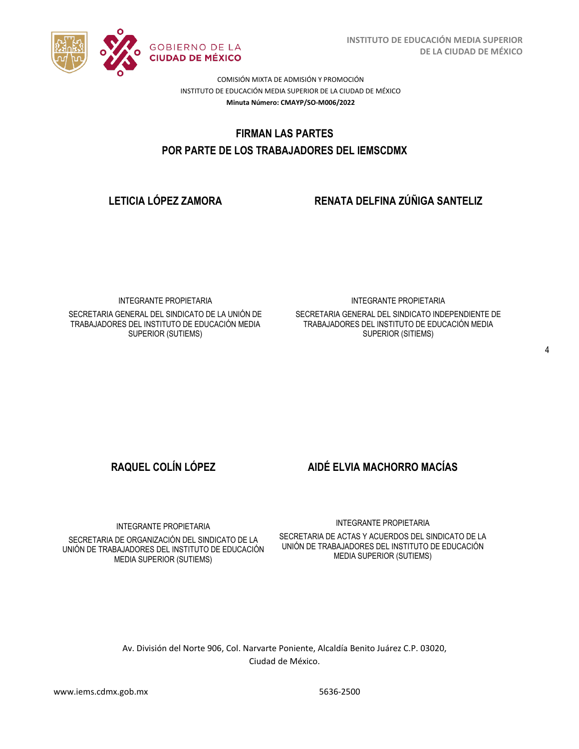

**INSTITUTO DE EDUCACIÓN MEDIA SUPERIOR DE LA CIUDAD DE MÉXICO**

COMISIÓN MIXTA DE ADMISIÓN Y PROMOCIÓN INSTITUTO DE EDUCACIÓN MEDIA SUPERIOR DE LA CIUDAD DE MÉXICO **Minuta Número: CMAYP/SO-M006/2022**

# FIRMAN LAS PARTES  **POR PARTE DE LOS TRABAJADORES DEL IEMSCDMX**

**LETICIA LÓPEZ ZAMORA RENATA DELFINA ZÚÑIGA SANTELIZ**

INTEGRANTE PROPIETARIA

SECRETARIA GENERAL DEL SINDICATO DE LA UNIÓN DE TRABAJADORES DEL INSTITUTO DE EDUCACIÓN MEDIA SUPERIOR (SUTIEMS)

INTEGRANTE PROPIETARIA

SECRETARIA GENERAL DEL SINDICATO INDEPENDIENTE DE TRABAJADORES DEL INSTITUTO DE EDUCACIÓN MEDIA SUPERIOR (SITIEMS)

**RAQUEL COLÍN LÓPEZ AIDÉ ELVIA MACHORRO MACÍAS**

INTEGRANTE PROPIETARIA

SECRETARIA DE ORGANIZACIÓN DEL SINDICATO DE LA UNIÓN DE TRABAJADORES DEL INSTITUTO DE EDUCACIÓN MEDIA SUPERIOR (SUTIEMS)

INTEGRANTE PROPIETARIA

SECRETARIA DE ACTAS Y ACUERDOS DEL SINDICATO DE LA UNIÓN DE TRABAJADORES DEL INSTITUTO DE EDUCACIÓN MEDIA SUPERIOR (SUTIEMS)